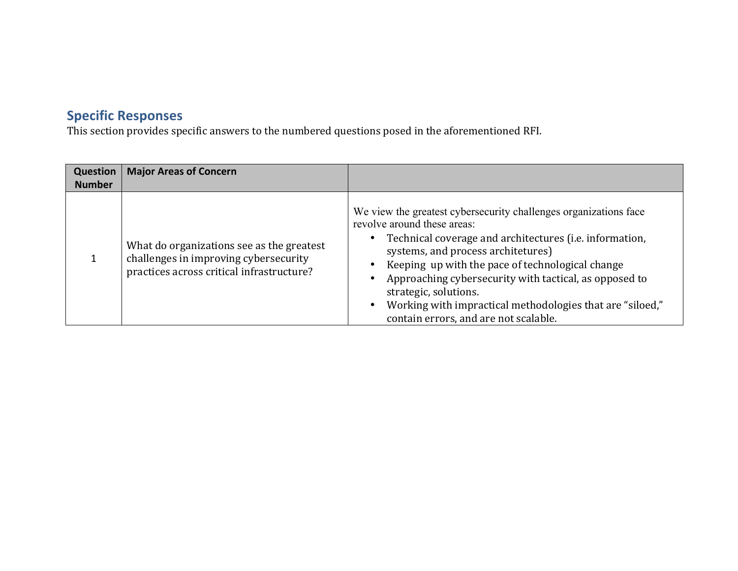## **Specific Responses**

This section provides specific answers to the numbered questions posed in the aforementioned RFI.

| Question<br><b>Number</b> | <b>Major Areas of Concern</b>                                                                                                   |                                                                                                                                                                                                                                                                                                                                                                                                                                               |
|---------------------------|---------------------------------------------------------------------------------------------------------------------------------|-----------------------------------------------------------------------------------------------------------------------------------------------------------------------------------------------------------------------------------------------------------------------------------------------------------------------------------------------------------------------------------------------------------------------------------------------|
|                           | What do organizations see as the greatest<br>challenges in improving cybersecurity<br>practices across critical infrastructure? | We view the greatest cybersecurity challenges organizations face<br>revolve around these areas:<br>Technical coverage and architectures (i.e. information,<br>systems, and process architetures)<br>Keeping up with the pace of technological change<br>Approaching cybersecurity with tactical, as opposed to<br>strategic, solutions.<br>Working with impractical methodologies that are "siloed,"<br>contain errors, and are not scalable. |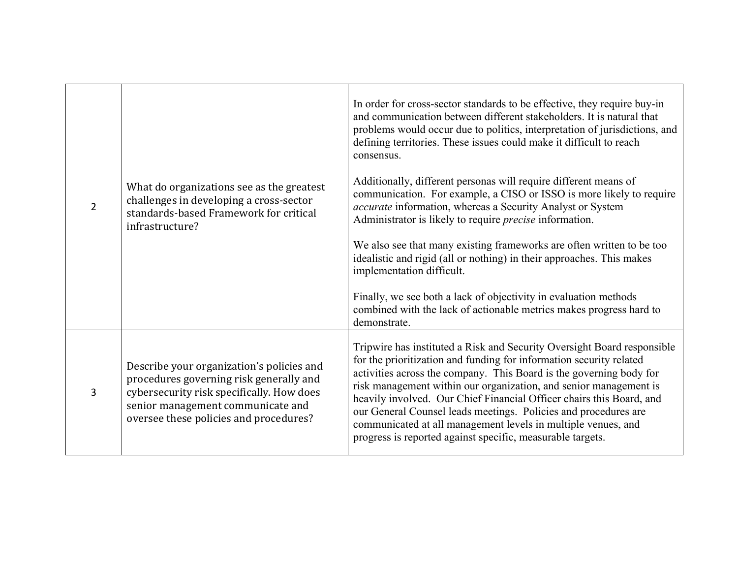| $\overline{2}$ | What do organizations see as the greatest<br>challenges in developing a cross-sector<br>standards-based Framework for critical<br>infrastructure?                                                                | In order for cross-sector standards to be effective, they require buy-in<br>and communication between different stakeholders. It is natural that<br>problems would occur due to politics, interpretation of jurisdictions, and<br>defining territories. These issues could make it difficult to reach<br>consensus.<br>Additionally, different personas will require different means of<br>communication. For example, a CISO or ISSO is more likely to require<br>accurate information, whereas a Security Analyst or System<br>Administrator is likely to require <i>precise</i> information.<br>We also see that many existing frameworks are often written to be too<br>idealistic and rigid (all or nothing) in their approaches. This makes<br>implementation difficult.<br>Finally, we see both a lack of objectivity in evaluation methods<br>combined with the lack of actionable metrics makes progress hard to<br>demonstrate. |
|----------------|------------------------------------------------------------------------------------------------------------------------------------------------------------------------------------------------------------------|-------------------------------------------------------------------------------------------------------------------------------------------------------------------------------------------------------------------------------------------------------------------------------------------------------------------------------------------------------------------------------------------------------------------------------------------------------------------------------------------------------------------------------------------------------------------------------------------------------------------------------------------------------------------------------------------------------------------------------------------------------------------------------------------------------------------------------------------------------------------------------------------------------------------------------------------|
| 3              | Describe your organization's policies and<br>procedures governing risk generally and<br>cybersecurity risk specifically. How does<br>senior management communicate and<br>oversee these policies and procedures? | Tripwire has instituted a Risk and Security Oversight Board responsible<br>for the prioritization and funding for information security related<br>activities across the company. This Board is the governing body for<br>risk management within our organization, and senior management is<br>heavily involved. Our Chief Financial Officer chairs this Board, and<br>our General Counsel leads meetings. Policies and procedures are<br>communicated at all management levels in multiple venues, and<br>progress is reported against specific, measurable targets.                                                                                                                                                                                                                                                                                                                                                                      |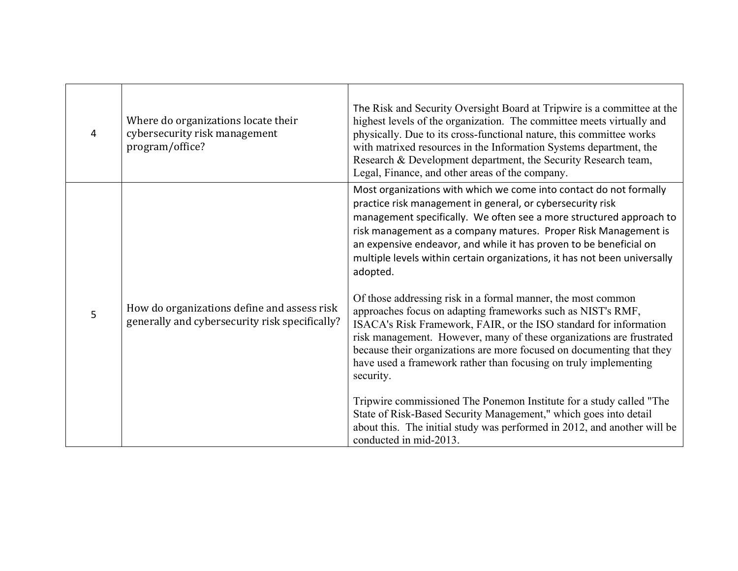| 4 | Where do organizations locate their<br>cybersecurity risk management<br>program/office?       | The Risk and Security Oversight Board at Tripwire is a committee at the<br>highest levels of the organization. The committee meets virtually and<br>physically. Due to its cross-functional nature, this committee works<br>with matrixed resources in the Information Systems department, the<br>Research & Development department, the Security Research team,<br>Legal, Finance, and other areas of the company.                                                                                                                                                                                                                                                                                                                                                                                                                                                             |
|---|-----------------------------------------------------------------------------------------------|---------------------------------------------------------------------------------------------------------------------------------------------------------------------------------------------------------------------------------------------------------------------------------------------------------------------------------------------------------------------------------------------------------------------------------------------------------------------------------------------------------------------------------------------------------------------------------------------------------------------------------------------------------------------------------------------------------------------------------------------------------------------------------------------------------------------------------------------------------------------------------|
| 5 | How do organizations define and assess risk<br>generally and cybersecurity risk specifically? | Most organizations with which we come into contact do not formally<br>practice risk management in general, or cybersecurity risk<br>management specifically. We often see a more structured approach to<br>risk management as a company matures. Proper Risk Management is<br>an expensive endeavor, and while it has proven to be beneficial on<br>multiple levels within certain organizations, it has not been universally<br>adopted.<br>Of those addressing risk in a formal manner, the most common<br>approaches focus on adapting frameworks such as NIST's RMF,<br>ISACA's Risk Framework, FAIR, or the ISO standard for information<br>risk management. However, many of these organizations are frustrated<br>because their organizations are more focused on documenting that they<br>have used a framework rather than focusing on truly implementing<br>security. |
|   |                                                                                               | Tripwire commissioned The Ponemon Institute for a study called "The<br>State of Risk-Based Security Management," which goes into detail<br>about this. The initial study was performed in 2012, and another will be<br>conducted in mid-2013.                                                                                                                                                                                                                                                                                                                                                                                                                                                                                                                                                                                                                                   |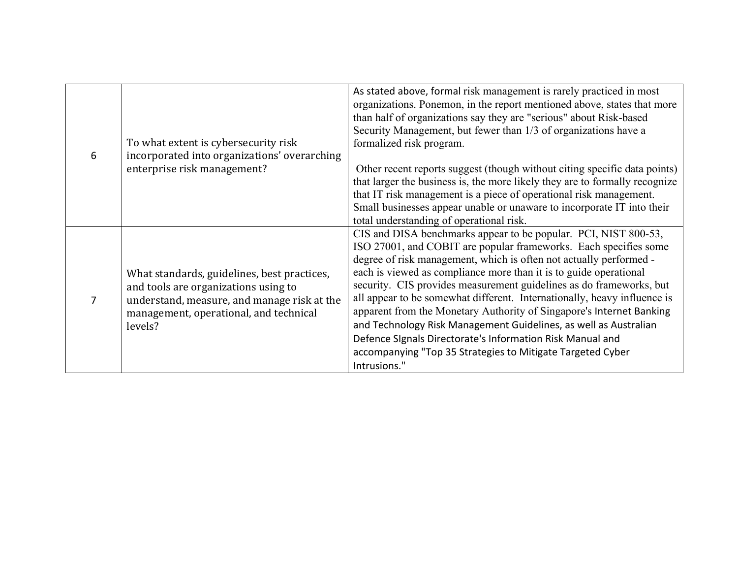| 6 | To what extent is cybersecurity risk<br>incorporated into organizations' overarching<br>enterprise risk management?                                                                     | As stated above, formal risk management is rarely practiced in most<br>organizations. Ponemon, in the report mentioned above, states that more<br>than half of organizations say they are "serious" about Risk-based<br>Security Management, but fewer than 1/3 of organizations have a<br>formalized risk program.<br>Other recent reports suggest (though without citing specific data points)<br>that larger the business is, the more likely they are to formally recognize<br>that IT risk management is a piece of operational risk management.<br>Small businesses appear unable or unaware to incorporate IT into their<br>total understanding of operational risk.                                              |
|---|-----------------------------------------------------------------------------------------------------------------------------------------------------------------------------------------|--------------------------------------------------------------------------------------------------------------------------------------------------------------------------------------------------------------------------------------------------------------------------------------------------------------------------------------------------------------------------------------------------------------------------------------------------------------------------------------------------------------------------------------------------------------------------------------------------------------------------------------------------------------------------------------------------------------------------|
| 7 | What standards, guidelines, best practices,<br>and tools are organizations using to<br>understand, measure, and manage risk at the<br>management, operational, and technical<br>levels? | CIS and DISA benchmarks appear to be popular. PCI, NIST 800-53,<br>ISO 27001, and COBIT are popular frameworks. Each specifies some<br>degree of risk management, which is often not actually performed -<br>each is viewed as compliance more than it is to guide operational<br>security. CIS provides measurement guidelines as do frameworks, but<br>all appear to be somewhat different. Internationally, heavy influence is<br>apparent from the Monetary Authority of Singapore's Internet Banking<br>and Technology Risk Management Guidelines, as well as Australian<br>Defence Signals Directorate's Information Risk Manual and<br>accompanying "Top 35 Strategies to Mitigate Targeted Cyber<br>Intrusions." |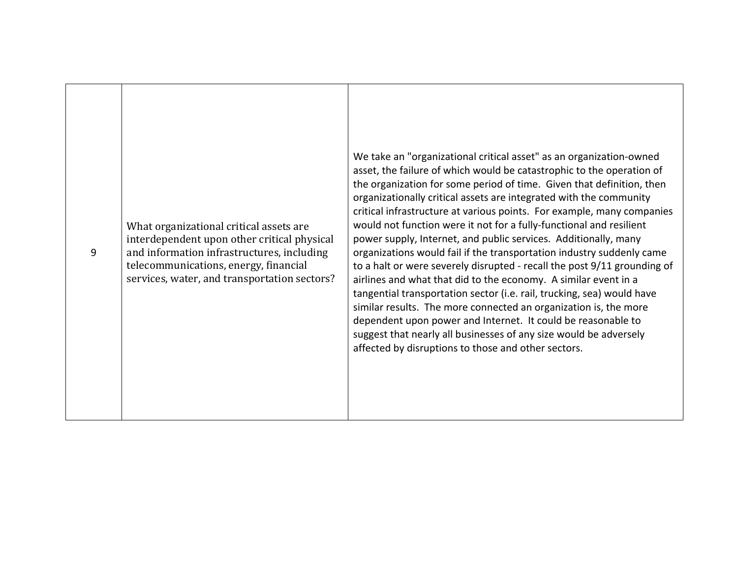| 9 | What organizational critical assets are<br>interdependent upon other critical physical<br>and information infrastructures, including<br>telecommunications, energy, financial<br>services, water, and transportation sectors? | We take an "organizational critical asset" as an organization-owned<br>asset, the failure of which would be catastrophic to the operation of<br>the organization for some period of time. Given that definition, then<br>organizationally critical assets are integrated with the community<br>critical infrastructure at various points. For example, many companies<br>would not function were it not for a fully-functional and resilient<br>power supply, Internet, and public services. Additionally, many<br>organizations would fail if the transportation industry suddenly came<br>to a halt or were severely disrupted - recall the post 9/11 grounding of<br>airlines and what that did to the economy. A similar event in a<br>tangential transportation sector (i.e. rail, trucking, sea) would have<br>similar results. The more connected an organization is, the more<br>dependent upon power and Internet. It could be reasonable to<br>suggest that nearly all businesses of any size would be adversely<br>affected by disruptions to those and other sectors. |
|---|-------------------------------------------------------------------------------------------------------------------------------------------------------------------------------------------------------------------------------|-----------------------------------------------------------------------------------------------------------------------------------------------------------------------------------------------------------------------------------------------------------------------------------------------------------------------------------------------------------------------------------------------------------------------------------------------------------------------------------------------------------------------------------------------------------------------------------------------------------------------------------------------------------------------------------------------------------------------------------------------------------------------------------------------------------------------------------------------------------------------------------------------------------------------------------------------------------------------------------------------------------------------------------------------------------------------------------|
|   |                                                                                                                                                                                                                               |                                                                                                                                                                                                                                                                                                                                                                                                                                                                                                                                                                                                                                                                                                                                                                                                                                                                                                                                                                                                                                                                                   |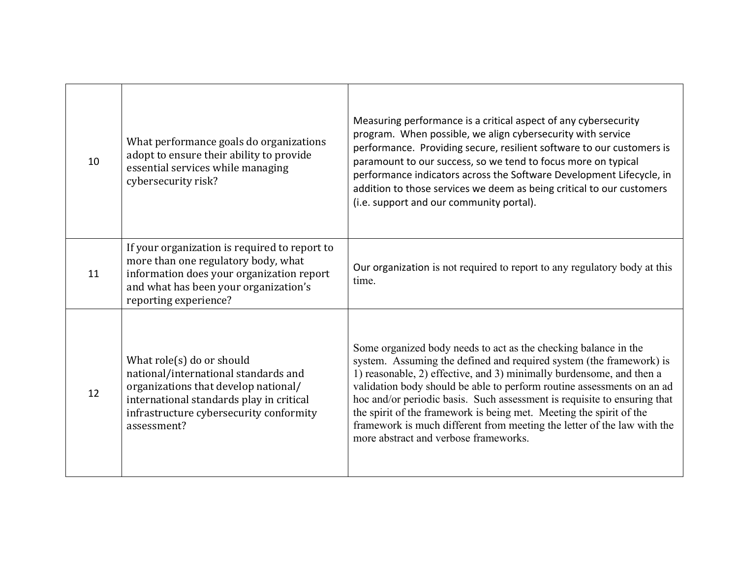| 10 | What performance goals do organizations<br>adopt to ensure their ability to provide<br>essential services while managing<br>cybersecurity risk?                                                                 | Measuring performance is a critical aspect of any cybersecurity<br>program. When possible, we align cybersecurity with service<br>performance. Providing secure, resilient software to our customers is<br>paramount to our success, so we tend to focus more on typical<br>performance indicators across the Software Development Lifecycle, in<br>addition to those services we deem as being critical to our customers<br>(i.e. support and our community portal).                                                                                           |
|----|-----------------------------------------------------------------------------------------------------------------------------------------------------------------------------------------------------------------|-----------------------------------------------------------------------------------------------------------------------------------------------------------------------------------------------------------------------------------------------------------------------------------------------------------------------------------------------------------------------------------------------------------------------------------------------------------------------------------------------------------------------------------------------------------------|
| 11 | If your organization is required to report to<br>more than one regulatory body, what<br>information does your organization report<br>and what has been your organization's<br>reporting experience?             | Our organization is not required to report to any regulatory body at this<br>time.                                                                                                                                                                                                                                                                                                                                                                                                                                                                              |
| 12 | What role(s) do or should<br>national/international standards and<br>organizations that develop national/<br>international standards play in critical<br>infrastructure cybersecurity conformity<br>assessment? | Some organized body needs to act as the checking balance in the<br>system. Assuming the defined and required system (the framework) is<br>1) reasonable, 2) effective, and 3) minimally burdensome, and then a<br>validation body should be able to perform routine assessments on an ad<br>hoc and/or periodic basis. Such assessment is requisite to ensuring that<br>the spirit of the framework is being met. Meeting the spirit of the<br>framework is much different from meeting the letter of the law with the<br>more abstract and verbose frameworks. |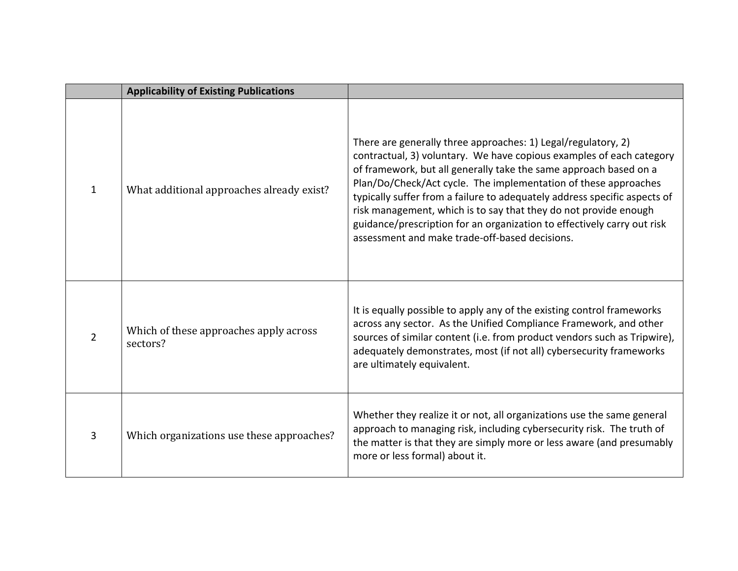|                | <b>Applicability of Existing Publications</b>      |                                                                                                                                                                                                                                                                                                                                                                                                                                                                                                                                                             |
|----------------|----------------------------------------------------|-------------------------------------------------------------------------------------------------------------------------------------------------------------------------------------------------------------------------------------------------------------------------------------------------------------------------------------------------------------------------------------------------------------------------------------------------------------------------------------------------------------------------------------------------------------|
| $\mathbf{1}$   | What additional approaches already exist?          | There are generally three approaches: 1) Legal/regulatory, 2)<br>contractual, 3) voluntary. We have copious examples of each category<br>of framework, but all generally take the same approach based on a<br>Plan/Do/Check/Act cycle. The implementation of these approaches<br>typically suffer from a failure to adequately address specific aspects of<br>risk management, which is to say that they do not provide enough<br>guidance/prescription for an organization to effectively carry out risk<br>assessment and make trade-off-based decisions. |
| $\overline{2}$ | Which of these approaches apply across<br>sectors? | It is equally possible to apply any of the existing control frameworks<br>across any sector. As the Unified Compliance Framework, and other<br>sources of similar content (i.e. from product vendors such as Tripwire),<br>adequately demonstrates, most (if not all) cybersecurity frameworks<br>are ultimately equivalent.                                                                                                                                                                                                                                |
| 3              | Which organizations use these approaches?          | Whether they realize it or not, all organizations use the same general<br>approach to managing risk, including cybersecurity risk. The truth of<br>the matter is that they are simply more or less aware (and presumably<br>more or less formal) about it.                                                                                                                                                                                                                                                                                                  |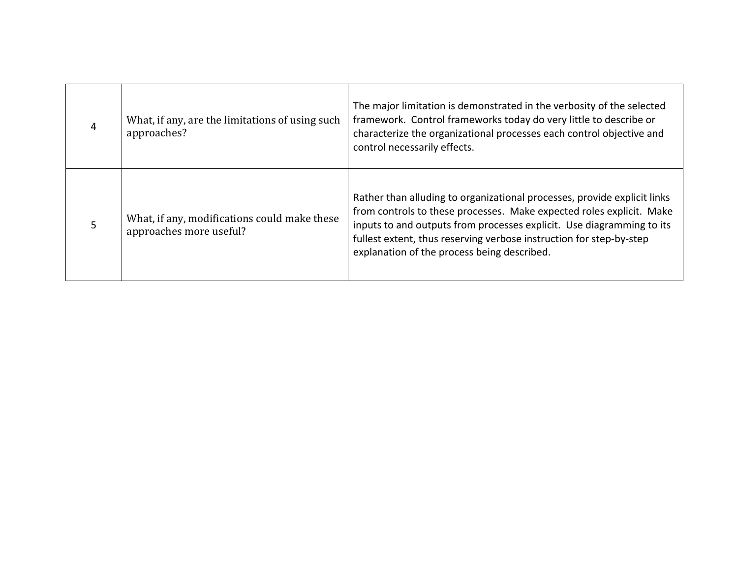| 4 | What, if any, are the limitations of using such<br>approaches?          | The major limitation is demonstrated in the verbosity of the selected<br>framework. Control frameworks today do very little to describe or<br>characterize the organizational processes each control objective and<br>control necessarily effects.                                                                                              |
|---|-------------------------------------------------------------------------|-------------------------------------------------------------------------------------------------------------------------------------------------------------------------------------------------------------------------------------------------------------------------------------------------------------------------------------------------|
|   | What, if any, modifications could make these<br>approaches more useful? | Rather than alluding to organizational processes, provide explicit links<br>from controls to these processes. Make expected roles explicit. Make<br>inputs to and outputs from processes explicit. Use diagramming to its<br>fullest extent, thus reserving verbose instruction for step-by-step<br>explanation of the process being described. |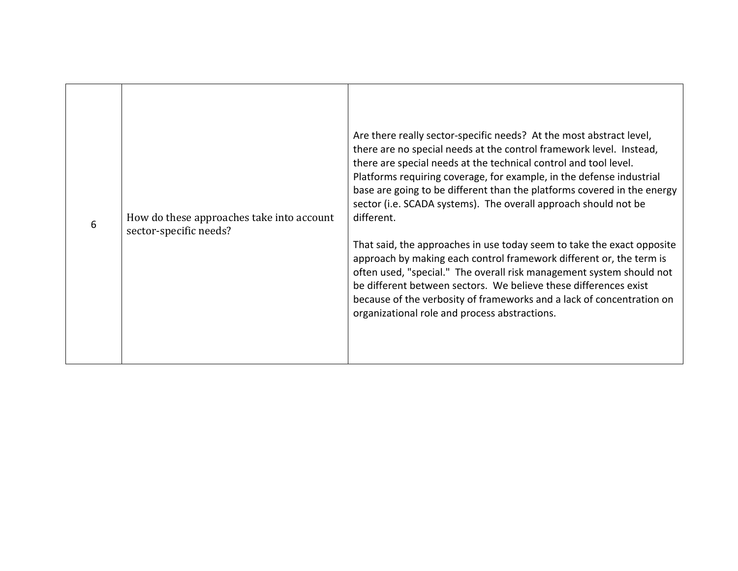| 6 | How do these approaches take into account<br>sector-specific needs? | Are there really sector-specific needs? At the most abstract level,<br>there are no special needs at the control framework level. Instead,<br>there are special needs at the technical control and tool level.<br>Platforms requiring coverage, for example, in the defense industrial<br>base are going to be different than the platforms covered in the energy<br>sector (i.e. SCADA systems). The overall approach should not be<br>different. |
|---|---------------------------------------------------------------------|----------------------------------------------------------------------------------------------------------------------------------------------------------------------------------------------------------------------------------------------------------------------------------------------------------------------------------------------------------------------------------------------------------------------------------------------------|
|   |                                                                     | That said, the approaches in use today seem to take the exact opposite<br>approach by making each control framework different or, the term is<br>often used, "special." The overall risk management system should not<br>be different between sectors. We believe these differences exist<br>because of the verbosity of frameworks and a lack of concentration on<br>organizational role and process abstractions.                                |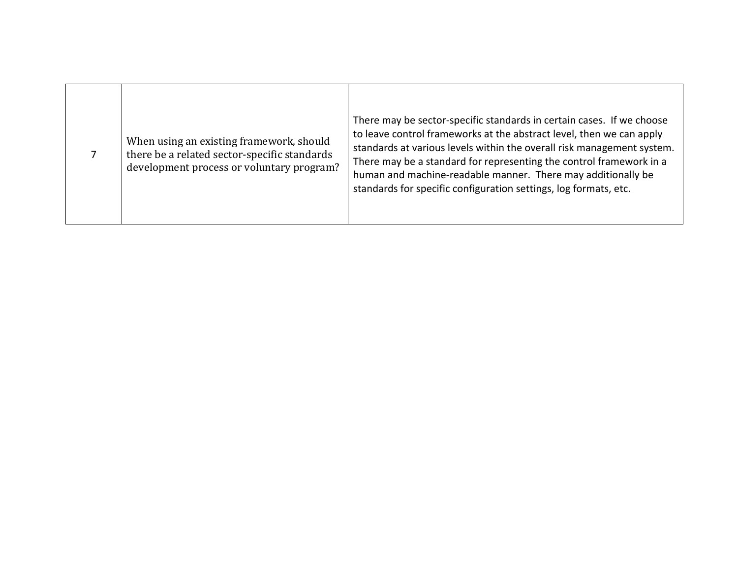|  | When using an existing framework, should<br>there be a related sector-specific standards<br>development process or voluntary program? | There may be sector-specific standards in certain cases. If we choose<br>to leave control frameworks at the abstract level, then we can apply<br>standards at various levels within the overall risk management system.<br>There may be a standard for representing the control framework in a<br>human and machine-readable manner. There may additionally be<br>standards for specific configuration settings, log formats, etc. |
|--|---------------------------------------------------------------------------------------------------------------------------------------|------------------------------------------------------------------------------------------------------------------------------------------------------------------------------------------------------------------------------------------------------------------------------------------------------------------------------------------------------------------------------------------------------------------------------------|
|--|---------------------------------------------------------------------------------------------------------------------------------------|------------------------------------------------------------------------------------------------------------------------------------------------------------------------------------------------------------------------------------------------------------------------------------------------------------------------------------------------------------------------------------------------------------------------------------|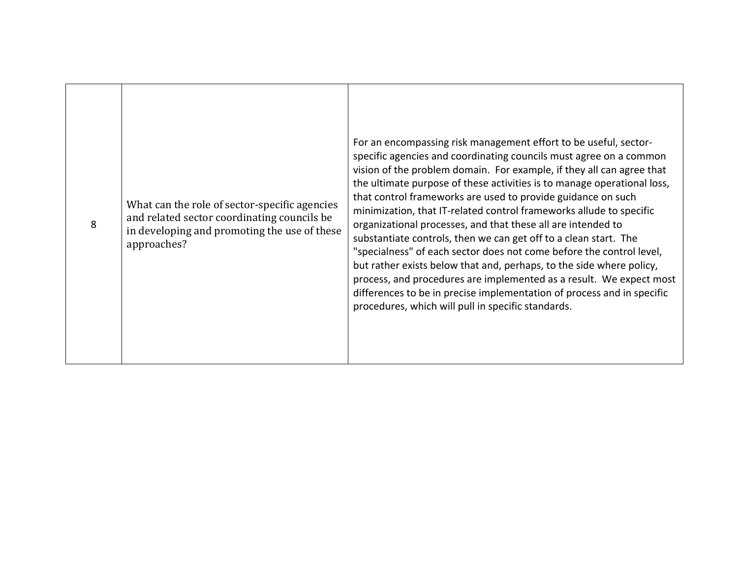| 8 | What can the role of sector-specific agencies<br>and related sector coordinating councils be<br>in developing and promoting the use of these<br>approaches? | For an encompassing risk management effort to be useful, sector-<br>specific agencies and coordinating councils must agree on a common<br>vision of the problem domain. For example, if they all can agree that<br>the ultimate purpose of these activities is to manage operational loss,<br>that control frameworks are used to provide guidance on such<br>minimization, that IT-related control frameworks allude to specific<br>organizational processes, and that these all are intended to<br>substantiate controls, then we can get off to a clean start. The<br>"specialness" of each sector does not come before the control level,<br>but rather exists below that and, perhaps, to the side where policy,<br>process, and procedures are implemented as a result. We expect most<br>differences to be in precise implementation of process and in specific<br>procedures, which will pull in specific standards. |
|---|-------------------------------------------------------------------------------------------------------------------------------------------------------------|------------------------------------------------------------------------------------------------------------------------------------------------------------------------------------------------------------------------------------------------------------------------------------------------------------------------------------------------------------------------------------------------------------------------------------------------------------------------------------------------------------------------------------------------------------------------------------------------------------------------------------------------------------------------------------------------------------------------------------------------------------------------------------------------------------------------------------------------------------------------------------------------------------------------------|
|---|-------------------------------------------------------------------------------------------------------------------------------------------------------------|------------------------------------------------------------------------------------------------------------------------------------------------------------------------------------------------------------------------------------------------------------------------------------------------------------------------------------------------------------------------------------------------------------------------------------------------------------------------------------------------------------------------------------------------------------------------------------------------------------------------------------------------------------------------------------------------------------------------------------------------------------------------------------------------------------------------------------------------------------------------------------------------------------------------------|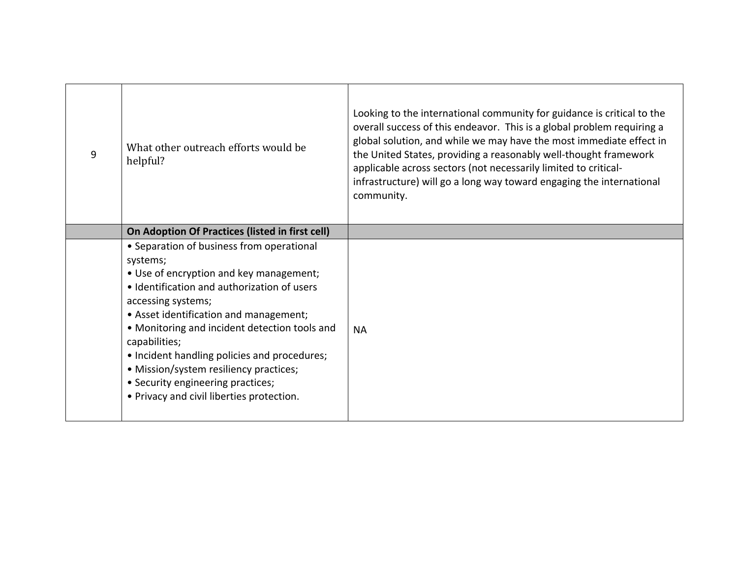| 9 | What other outreach efforts would be<br>helpful?                                                                                                                                                                                                                                                                                                                                                                                                              | Looking to the international community for guidance is critical to the<br>overall success of this endeavor. This is a global problem requiring a<br>global solution, and while we may have the most immediate effect in<br>the United States, providing a reasonably well-thought framework<br>applicable across sectors (not necessarily limited to critical-<br>infrastructure) will go a long way toward engaging the international<br>community. |
|---|---------------------------------------------------------------------------------------------------------------------------------------------------------------------------------------------------------------------------------------------------------------------------------------------------------------------------------------------------------------------------------------------------------------------------------------------------------------|------------------------------------------------------------------------------------------------------------------------------------------------------------------------------------------------------------------------------------------------------------------------------------------------------------------------------------------------------------------------------------------------------------------------------------------------------|
|   | On Adoption Of Practices (listed in first cell)                                                                                                                                                                                                                                                                                                                                                                                                               |                                                                                                                                                                                                                                                                                                                                                                                                                                                      |
|   | • Separation of business from operational<br>systems;<br>• Use of encryption and key management;<br>· Identification and authorization of users<br>accessing systems;<br>• Asset identification and management;<br>• Monitoring and incident detection tools and<br>capabilities;<br>• Incident handling policies and procedures;<br>· Mission/system resiliency practices;<br>• Security engineering practices;<br>• Privacy and civil liberties protection. | <b>NA</b>                                                                                                                                                                                                                                                                                                                                                                                                                                            |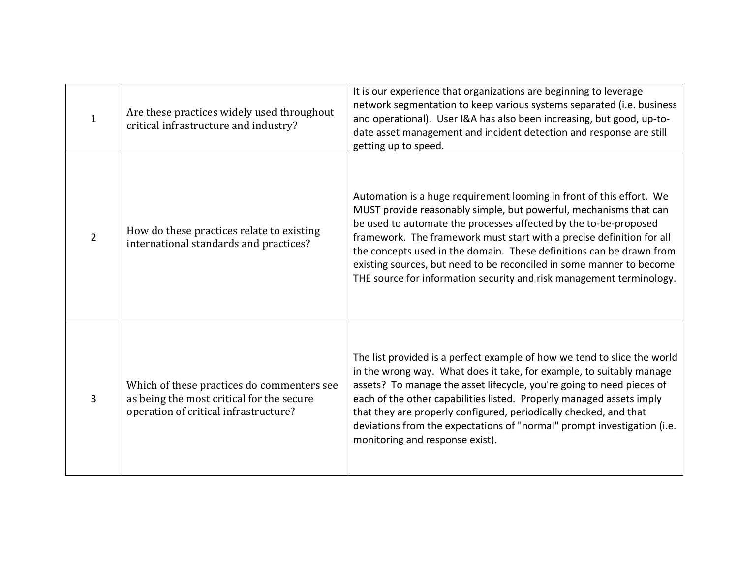| $\mathbf{1}$   | Are these practices widely used throughout<br>critical infrastructure and industry?                                              | It is our experience that organizations are beginning to leverage<br>network segmentation to keep various systems separated (i.e. business<br>and operational). User I&A has also been increasing, but good, up-to-<br>date asset management and incident detection and response are still<br>getting up to speed.                                                                                                                                                                                             |
|----------------|----------------------------------------------------------------------------------------------------------------------------------|----------------------------------------------------------------------------------------------------------------------------------------------------------------------------------------------------------------------------------------------------------------------------------------------------------------------------------------------------------------------------------------------------------------------------------------------------------------------------------------------------------------|
| $\overline{2}$ | How do these practices relate to existing<br>international standards and practices?                                              | Automation is a huge requirement looming in front of this effort. We<br>MUST provide reasonably simple, but powerful, mechanisms that can<br>be used to automate the processes affected by the to-be-proposed<br>framework. The framework must start with a precise definition for all<br>the concepts used in the domain. These definitions can be drawn from<br>existing sources, but need to be reconciled in some manner to become<br>THE source for information security and risk management terminology. |
| 3              | Which of these practices do commenters see<br>as being the most critical for the secure<br>operation of critical infrastructure? | The list provided is a perfect example of how we tend to slice the world<br>in the wrong way. What does it take, for example, to suitably manage<br>assets? To manage the asset lifecycle, you're going to need pieces of<br>each of the other capabilities listed. Properly managed assets imply<br>that they are properly configured, periodically checked, and that<br>deviations from the expectations of "normal" prompt investigation (i.e.<br>monitoring and response exist).                           |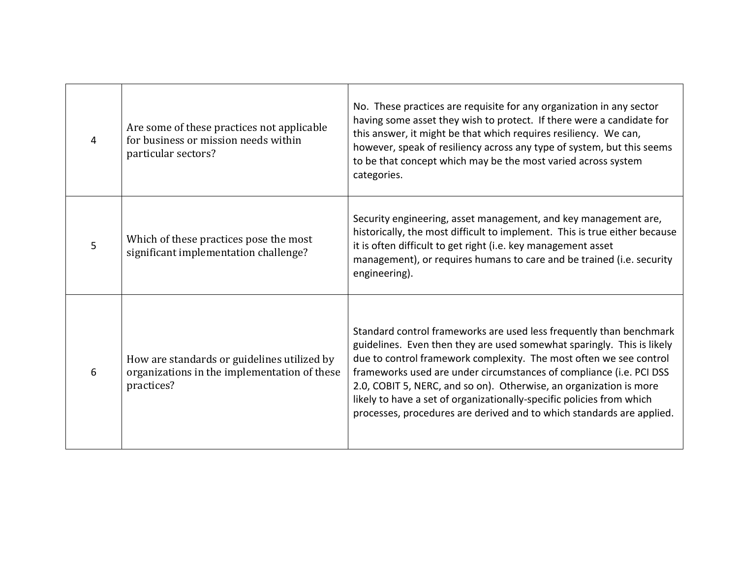| $\overline{4}$ | Are some of these practices not applicable<br>for business or mission needs within<br>particular sectors? | No. These practices are requisite for any organization in any sector<br>having some asset they wish to protect. If there were a candidate for<br>this answer, it might be that which requires resiliency. We can,<br>however, speak of resiliency across any type of system, but this seems<br>to be that concept which may be the most varied across system<br>categories.                                                                                                                                        |
|----------------|-----------------------------------------------------------------------------------------------------------|--------------------------------------------------------------------------------------------------------------------------------------------------------------------------------------------------------------------------------------------------------------------------------------------------------------------------------------------------------------------------------------------------------------------------------------------------------------------------------------------------------------------|
| 5              | Which of these practices pose the most<br>significant implementation challenge?                           | Security engineering, asset management, and key management are,<br>historically, the most difficult to implement. This is true either because<br>it is often difficult to get right (i.e. key management asset<br>management), or requires humans to care and be trained (i.e. security<br>engineering).                                                                                                                                                                                                           |
| 6              | How are standards or guidelines utilized by<br>organizations in the implementation of these<br>practices? | Standard control frameworks are used less frequently than benchmark<br>guidelines. Even then they are used somewhat sparingly. This is likely<br>due to control framework complexity. The most often we see control<br>frameworks used are under circumstances of compliance (i.e. PCI DSS<br>2.0, COBIT 5, NERC, and so on). Otherwise, an organization is more<br>likely to have a set of organizationally-specific policies from which<br>processes, procedures are derived and to which standards are applied. |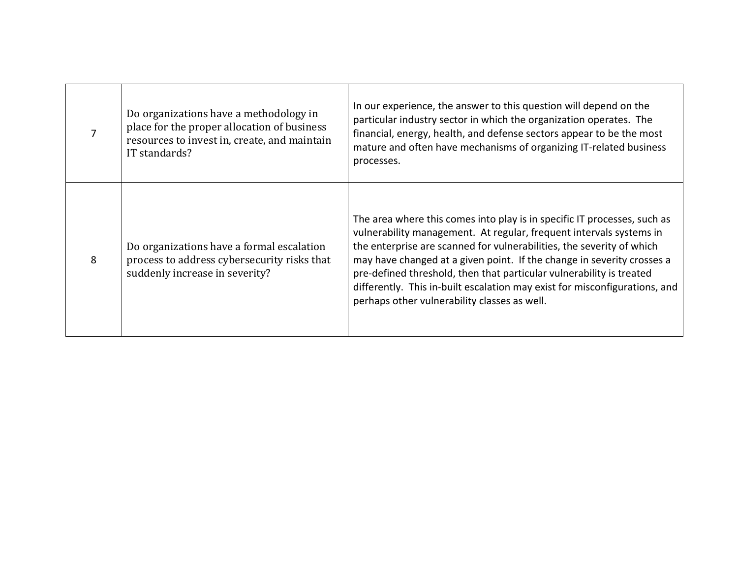|   | Do organizations have a methodology in<br>place for the proper allocation of business<br>resources to invest in, create, and maintain<br>IT standards? | In our experience, the answer to this question will depend on the<br>particular industry sector in which the organization operates. The<br>financial, energy, health, and defense sectors appear to be the most<br>mature and often have mechanisms of organizing IT-related business<br>processes.                                                                                                                                                                                                      |
|---|--------------------------------------------------------------------------------------------------------------------------------------------------------|----------------------------------------------------------------------------------------------------------------------------------------------------------------------------------------------------------------------------------------------------------------------------------------------------------------------------------------------------------------------------------------------------------------------------------------------------------------------------------------------------------|
| 8 | Do organizations have a formal escalation<br>process to address cybersecurity risks that<br>suddenly increase in severity?                             | The area where this comes into play is in specific IT processes, such as<br>vulnerability management. At regular, frequent intervals systems in<br>the enterprise are scanned for vulnerabilities, the severity of which<br>may have changed at a given point. If the change in severity crosses a<br>pre-defined threshold, then that particular vulnerability is treated<br>differently. This in-built escalation may exist for misconfigurations, and<br>perhaps other vulnerability classes as well. |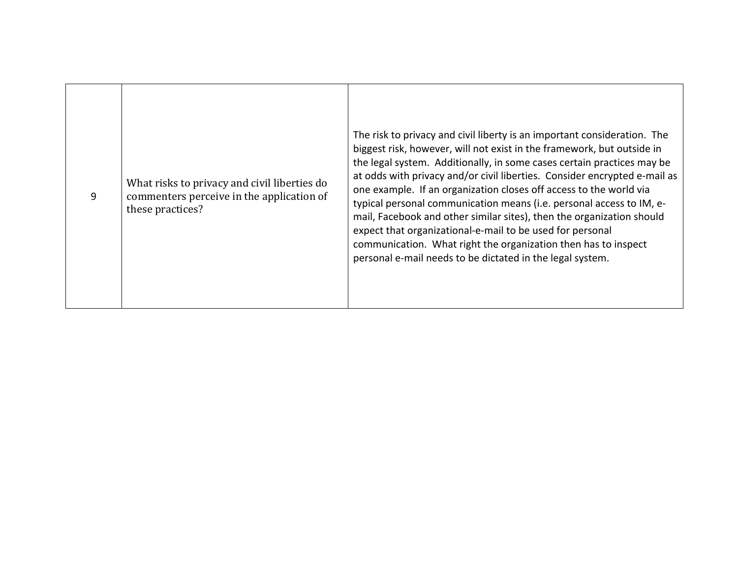| 9 | What risks to privacy and civil liberties do<br>commenters perceive in the application of<br>these practices? | The risk to privacy and civil liberty is an important consideration. The<br>biggest risk, however, will not exist in the framework, but outside in<br>the legal system. Additionally, in some cases certain practices may be<br>at odds with privacy and/or civil liberties. Consider encrypted e-mail as<br>one example. If an organization closes off access to the world via<br>typical personal communication means (i.e. personal access to IM, e-<br>mail, Facebook and other similar sites), then the organization should<br>expect that organizational-e-mail to be used for personal<br>communication. What right the organization then has to inspect<br>personal e-mail needs to be dictated in the legal system. |
|---|---------------------------------------------------------------------------------------------------------------|------------------------------------------------------------------------------------------------------------------------------------------------------------------------------------------------------------------------------------------------------------------------------------------------------------------------------------------------------------------------------------------------------------------------------------------------------------------------------------------------------------------------------------------------------------------------------------------------------------------------------------------------------------------------------------------------------------------------------|
|---|---------------------------------------------------------------------------------------------------------------|------------------------------------------------------------------------------------------------------------------------------------------------------------------------------------------------------------------------------------------------------------------------------------------------------------------------------------------------------------------------------------------------------------------------------------------------------------------------------------------------------------------------------------------------------------------------------------------------------------------------------------------------------------------------------------------------------------------------------|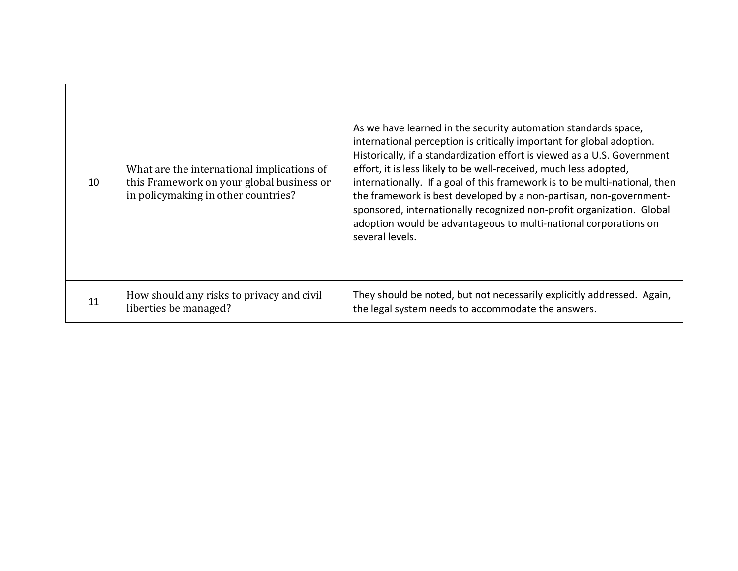| 10 | What are the international implications of<br>this Framework on your global business or<br>in policymaking in other countries? | As we have learned in the security automation standards space,<br>international perception is critically important for global adoption.<br>Historically, if a standardization effort is viewed as a U.S. Government<br>effort, it is less likely to be well-received, much less adopted,<br>internationally. If a goal of this framework is to be multi-national, then<br>the framework is best developed by a non-partisan, non-government-<br>sponsored, internationally recognized non-profit organization. Global<br>adoption would be advantageous to multi-national corporations on<br>several levels. |
|----|--------------------------------------------------------------------------------------------------------------------------------|--------------------------------------------------------------------------------------------------------------------------------------------------------------------------------------------------------------------------------------------------------------------------------------------------------------------------------------------------------------------------------------------------------------------------------------------------------------------------------------------------------------------------------------------------------------------------------------------------------------|
| 11 | How should any risks to privacy and civil<br>liberties be managed?                                                             | They should be noted, but not necessarily explicitly addressed. Again,<br>the legal system needs to accommodate the answers.                                                                                                                                                                                                                                                                                                                                                                                                                                                                                 |